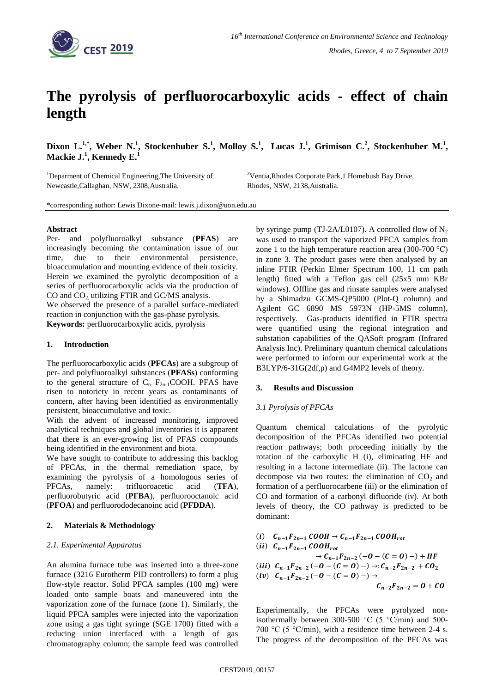

# **The pyrolysis of perfluorocarboxylic acids - effect of chain length**

Dixon L.<sup>1,\*</sup>, Weber N.<sup>1</sup>, Stockenhuber S.<sup>1</sup>, Molloy S.<sup>1</sup>, Lucas J.<sup>1</sup>, Grimison C.<sup>2</sup>, Stockenhuber M.<sup>1</sup>, **Mackie J.<sup>1</sup> , Kennedy E. 1**

<sup>1</sup>Deparment of Chemical Engineering, The University of Newcastle,Callaghan, NSW, 2308,Australia.

<sup>2</sup>Ventia,Rhodes Corporate Park,1 Homebush Bay Drive, Rhodes, NSW, 2138,Australia.

\*corresponding author: Lewis Dixone-mail: lewis.j.dixon@uon.edu.au

## **Abstract**

Per- and polyfluoroalkyl substance (**PFAS**) are increasingly becoming *the* contamination issue of our time, due to their environmental persistence, bioaccumulation and mounting evidence of their toxicity. Herein we examined the pyrolytic decomposition of a series of perfluorocarboxylic acids via the production of CO and  $CO<sub>2</sub>$  utilizing FTIR and GC/MS analysis.

We observed the presence of a parallel surface-mediated reaction in conjunction with the gas-phase pyrolysis. **Keywords:** perfluorocarboxylic acids, pyrolysis

### **1. Introduction**

The perfluorocarboxylic acids (**PFCAs**) are a subgroup of per- and polyfluoroalkyl substances (**PFASs**) conforming to the general structure of  $C_{n-1}F_{2n-1}COOH$ . PFAS have risen to notoriety in recent years as contaminants of concern, after having been identified as environmentally persistent, bioaccumulative and toxic.

With the advent of increased monitoring, improved analytical techniques and global inventories it is apparent that there is an ever-growing list of PFAS compounds being identified in the environment and biota.

We have sought to contribute to addressing this backlog of PFCAs, in the thermal remediation space, by examining the pyrolysis of a homologous series of PFCAs, namely: trifluoroacetic acid (**TFA**), perfluorobutyric acid (**PFBA**), perfluorooctanoic acid (**PFOA**) and perfluorododecanoinc acid (**PFDDA**).

#### **2. Materials & Methodology**

#### *2.1. Experimental Apparatus*

An alumina furnace tube was inserted into a three-zone furnace (3216 Eurotherm PID controllers) to form a plug flow-style reactor. Solid PFCA samples (100 mg) were loaded onto sample boats and maneuvered into the vaporization zone of the furnace (zone 1). Similarly, the liquid PFCA samples were injected into the vaporization zone using a gas tight syringe (SGE 1700) fitted with a reducing union interfaced with a length of gas chromatography column; the sample feed was controlled by syringe pump (TJ-2A/L0107). A controlled flow of  $N_2$ was used to transport the vaporized PFCA samples from zone 1 to the high temperature reaction area (300-700  $^{\circ}$ C) in zone 3. The product gases were then analysed by an inline FTIR (Perkin Elmer Spectrum 100, 11 cm path length) fitted with a Teflon gas cell (25x5 mm KBr windows). Offline gas and rinsate samples were analysed by a Shimadzu GCMS-QP5000 (Plot-Q column) and Agilent GC 6890 MS 5973N (HP-5MS column), respectively. Gas-products identified in FTIR spectra were quantified using the regional integration and substation capabilities of the QASoft program (Infrared Analysis Inc). Preliminary quantum chemical calculations were performed to inform our experimental work at the B3LYP/6-31G(2df,p) and G4MP2 levels of theory.

#### **3. Results and Discussion**

## *3.1 Pyrolysis of PFCAs*

Quantum chemical calculations of the pyrolytic decomposition of the PFCAs identified two potential reaction pathways; both proceeding initially by the rotation of the carboxylic H (i), eliminating HF and resulting in a lactone intermediate (ii). The lactone can decompose via two routes: the elimination of  $CO<sub>2</sub>$  and formation of a perfluorocarbene (iii) or the elimination of CO and formation of a carbonyl difluoride (iv). At both levels of theory, the CO pathway is predicted to be dominant:

(*i*) 
$$
C_{n-1}F_{2n-1}COOH \rightarrow C_{n-1}F_{2n-1}COOH_{rot}
$$
  
\n(*ii*)  $C_{n-1}F_{2n-1}COOH_{rot} \rightarrow C_{n-1}F_{2n-2}(-O-(C=O)-)+HF$   
\n(*iii*)  $C_{n-1}F_{2n-2}(-O-(C=O)-) \rightarrow: C_{n-2}F_{2n-2} + CO_2$   
\n(*iv*)  $C_{n-1}F_{2n-2}(-O-(C=O)-) \rightarrow$   
\n $C_{n-2}F_{2n-2} = O + CO$ 

Experimentally, the PFCAs were pyrolyzed nonisothermally between 300-500 °C (5 °C/min) and 500-700 °C (5 °C/min), with a residence time between 2-4 s. The progress of the decomposition of the PFCAs was